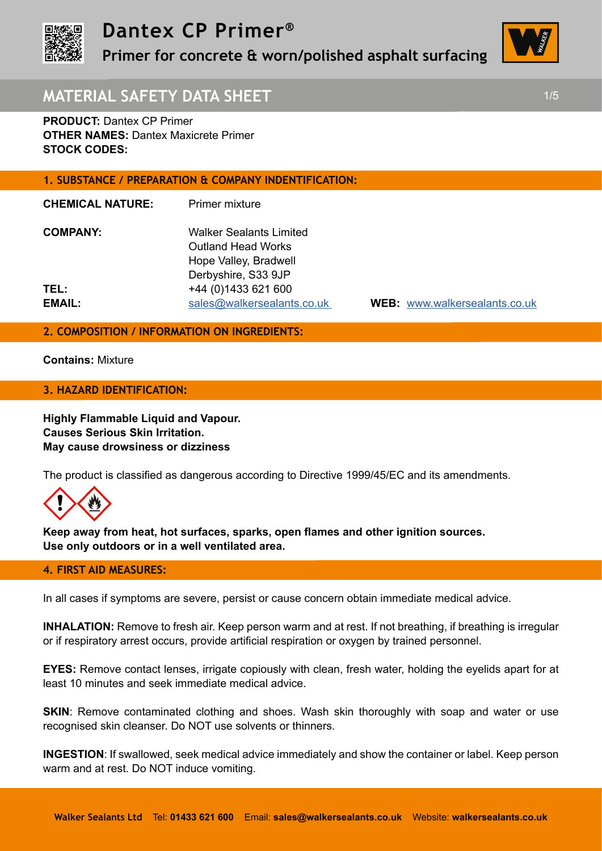

**Primer for concrete & worn/polished asphalt surfacing** 



# **MATERIAL SAFETY DATA SHEET 1/5** 1/5

**PRODUCT:** Dantex CP Primer **OTHER NAMES: Dantex Maxicrete Primer STOCK CODES:** 

## **1. SUBSTANCE / PREPARATION & COMPANY INDENTIFICATION:**

**CHEMICAL NATURE:** Primer mixture

| <b>COMPANY:</b> | <b>Walker Sealants Limited</b> |
|-----------------|--------------------------------|
|                 | <b>Outland Head Works</b>      |
|                 | Hope Valley, Bradwell          |
|                 | Derbyshire, S33 9JP            |
| TEL:            | +44 (0) 1433 621 600           |
| EMAIL:          | sales@walkersealants.co.uk     |

**EMAIL:** sales@walkersealants.co.uk **WEB:** www.walkersealants.co.uk

# **2. COMPOSITION / INFORMATION ON INGREDIENTS:**

**Contains:** Mixture

#### **3. HAZARD IDENTIFICATION:**

**Highly Flammable Liquid and Vapour. Causes Serious Skin Irritation. May cause drowsiness or dizziness**

The product is classified as dangerous according to Directive 1999/45/EC and its amendments.



**Keep away from heat, hot surfaces, sparks, open flames and other ignition sources. Use only outdoors or in a well ventilated area.**

## **4. FIRST AID MEASURES:**

In all cases if symptoms are severe, persist or cause concern obtain immediate medical advice.

**INHALATION:** Remove to fresh air. Keep person warm and at rest. If not breathing, if breathing is irregular or if respiratory arrest occurs, provide artificial respiration or oxygen by trained personnel.

**EYES:** Remove contact lenses, irrigate copiously with clean, fresh water, holding the eyelids apart for at least 10 minutes and seek immediate medical advice.

**SKIN:** Remove contaminated clothing and shoes. Wash skin thoroughly with soap and water or use recognised skin cleanser. Do NOT use solvents or thinners.

**INGESTION**: If swallowed, seek medical advice immediately and show the container or label. Keep person warm and at rest. Do NOT induce vomiting.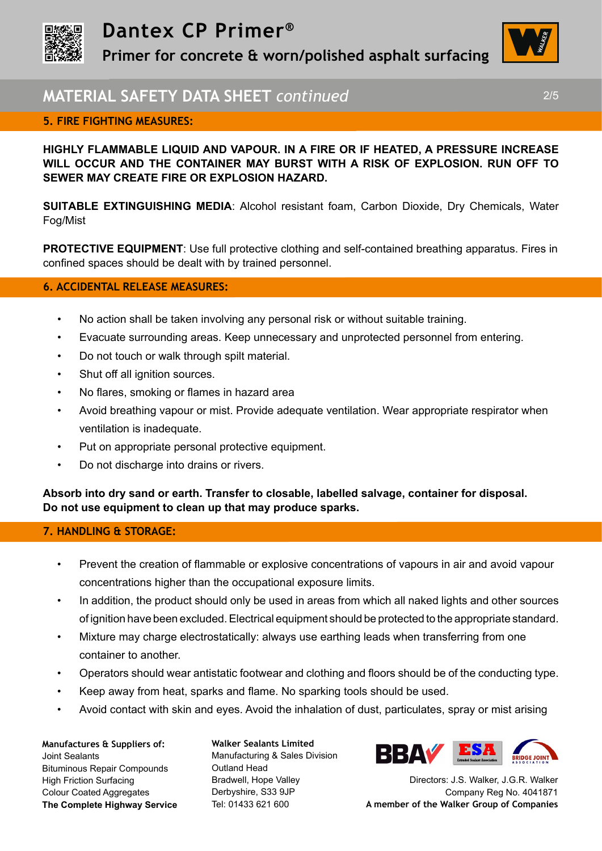

**Primer for concrete & worn/polished asphalt surfacing** 



# **MATERIAL SAFETY DATA SHEET** *continued* 2/5

## **5. FIRE FIGHTING MEASURES:**

**HIGHLY FLAMMABLE LIQUID AND VAPOUR. IN A FIRE OR IF HEATED, A PRESSURE INCREASE WILL OCCUR AND THE CONTAINER MAY BURST WITH A RISK OF EXPLOSION. RUN OFF TO SEWER MAY CREATE FIRE OR EXPLOSION HAZARD.** 

**SUITABLE EXTINGUISHING MEDIA**: Alcohol resistant foam, Carbon Dioxide, Dry Chemicals, Water Fog/Mist

**PROTECTIVE EQUIPMENT:** Use full protective clothing and self-contained breathing apparatus. Fires in confined spaces should be dealt with by trained personnel.

## **6. ACCIDENTAL RELEASE MEASURES:**

- No action shall be taken involving any personal risk or without suitable training.
- Evacuate surrounding areas. Keep unnecessary and unprotected personnel from entering.
- Do not touch or walk through spilt material.
- Shut off all ignition sources.
- No flares, smoking or flames in hazard area
- Avoid breathing vapour or mist. Provide adequate ventilation. Wear appropriate respirator when ventilation is inadequate.
- Put on appropriate personal protective equipment.
- Do not discharge into drains or rivers.

**Absorb into dry sand or earth. Transfer to closable, labelled salvage, container for disposal. Do not use equipment to clean up that may produce sparks.**

#### **7. HANDLING & STORAGE:**

- Prevent the creation of flammable or explosive concentrations of vapours in air and avoid vapour concentrations higher than the occupational exposure limits.
- In addition, the product should only be used in areas from which all naked lights and other sources of ignition have been excluded. Electrical equipment should be protected to the appropriate standard.
- Mixture may charge electrostatically: always use earthing leads when transferring from one container to another.
- Operators should wear antistatic footwear and clothing and floors should be of the conducting type.
- Keep away from heat, sparks and flame. No sparking tools should be used.
- Avoid contact with skin and eyes. Avoid the inhalation of dust, particulates, spray or mist arising

**Manufactures & Suppliers of:**  Joint Sealants Bituminous Repair Compounds High Friction Surfacing Colour Coated Aggregates **The Complete Highway Service** **Walker Sealants Limited**  Manufacturing & Sales Division Outland Head Bradwell, Hope Valley Derbyshire, S33 9JP Tel: 01433 621 600



Directors: J.S. Walker, J.G.R. Walker Company Reg No. 4041871 **A member of the Walker Group of Companies**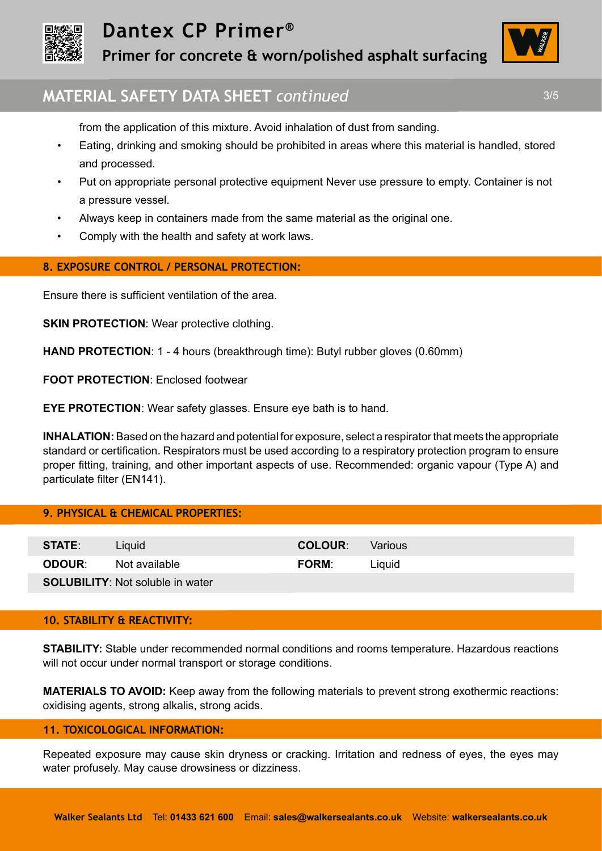

# **Dantex CP Primer®**

**Primer for concrete & worn/polished asphalt surfacing** 



# **MATERIAL SAFETY DATA SHEET** *continued* 3/5

from the application of this mixture. Avoid inhalation of dust from sanding.

- Eating, drinking and smoking should be prohibited in areas where this material is handled, stored and processed.
- Put on appropriate personal protective equipment Never use pressure to empty. Container is not a pressure vessel.
- Always keep in containers made from the same material as the original one.
- Comply with the health and safety at work laws.

## **8. EXPOSURE CONTROL / PERSONAL PROTECTION:**

Ensure there is sufficient ventilation of the area.

**SKIN PROTECTION: Wear protective clothing.** 

**HAND PROTECTION:** 1 - 4 hours (breakthrough time): Butyl rubber gloves (0.60mm)

**FOOT PROTECTION**: Enclosed footwear

**EYE PROTECTION:** Wear safety glasses. Ensure eye bath is to hand.

**INHALATION:** Based on the hazard and potential for exposure, select a respirator that meets the appropriate standard or certification. Respirators must be used according to a respiratory protection program to ensure proper fitting, training, and other important aspects of use. Recommended: organic vapour (Type A) and particulate filter (EN141).

## **9. PHYSICAL & CHEMICAL PROPERTIES:**

| <b>STATE:</b> | Liguid                                  | <b>COLOUR:</b> | <b>Various</b> |
|---------------|-----------------------------------------|----------------|----------------|
| <b>ODOUR:</b> | Not available                           | <b>FORM:</b>   | Liauid         |
|               | <b>SOLUBILITY:</b> Not soluble in water |                |                |

#### **10. STABILITY & REACTIVITY:**

**STABILITY:** Stable under recommended normal conditions and rooms temperature. Hazardous reactions will not occur under normal transport or storage conditions.

**MATERIALS TO AVOID:** Keep away from the following materials to prevent strong exothermic reactions: oxidising agents, strong alkalis, strong acids.

#### **11. TOXICOLOGICAL INFORMATION:**

Repeated exposure may cause skin dryness or cracking. Irritation and redness of eyes, the eyes may water profusely. May cause drowsiness or dizziness.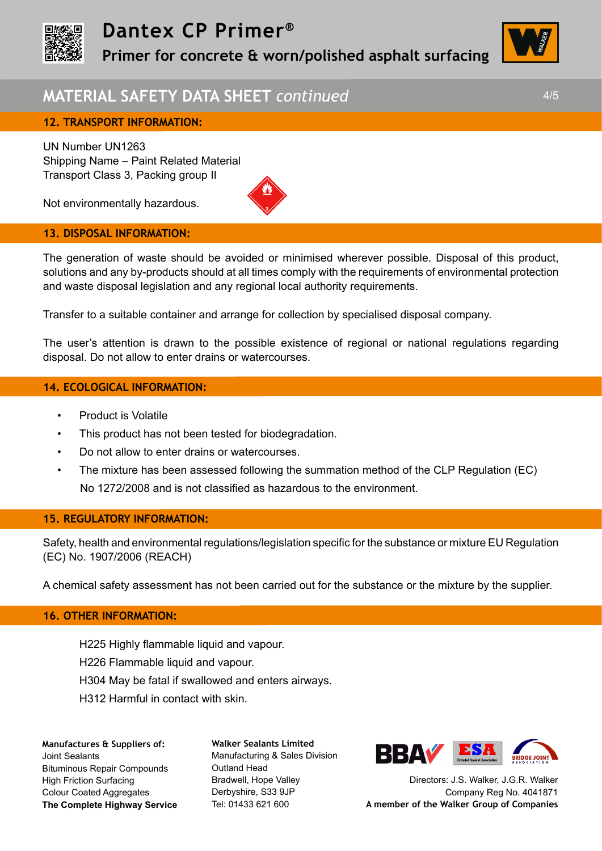

# **Dantex CP Primer®**

**Primer for concrete & worn/polished asphalt surfacing** 

# **MATERIAL SAFETY DATA SHEET** *continued* 4/5

UN Number UN1263 Shipping Name – Paint Related Material Transport Class 3, Packing group II

Not environmentally hazardous.

#### **13. DISPOSAL INFORMATION:**

The generation of waste should be avoided or minimised wherever possible. Disposal of this product, solutions and any by-products should at all times comply with the requirements of environmental protection and waste disposal legislation and any regional local authority requirements.

Transfer to a suitable container and arrange for collection by specialised disposal company.

The user's attention is drawn to the possible existence of regional or national regulations regarding disposal. Do not allow to enter drains or watercourses.

## **14. ECOLOGICAL INFORMATION:**

- Product is Volatile
- This product has not been tested for biodegradation.
- Do not allow to enter drains or watercourses.
- The mixture has been assessed following the summation method of the CLP Regulation (EC) No 1272/2008 and is not classified as hazardous to the environment.

#### **15. REGULATORY INFORMATION:**

Safety, health and environmental regulations/legislation specific for the substance or mixture EU Regulation (EC) No. 1907/2006 (REACH)

A chemical safety assessment has not been carried out for the substance or the mixture by the supplier.

## **16. OTHER INFORMATION:**

H225 Highly flammable liquid and vapour.

- H226 Flammable liquid and vapour.
- H304 May be fatal if swallowed and enters airways.
- H312 Harmful in contact with skin.

**Manufactures & Suppliers of:**  Joint Sealants Bituminous Repair Compounds High Friction Surfacing Colour Coated Aggregates **The Complete Highway Service** **Walker Sealants Limited**  Manufacturing & Sales Division Outland Head Bradwell, Hope Valley Derbyshire, S33 9JP Tel: 01433 621 600



Directors: J.S. Walker, J.G.R. Walker Company Reg No. 4041871 **A member of the Walker Group of Companies**